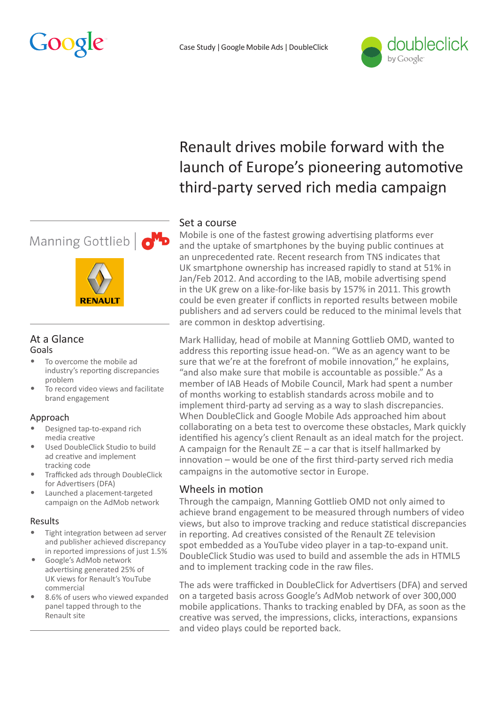



# Renault drives mobile forward with the launch of Europe's pioneering automotive third-party served rich media campaign

# Set a course

Mobile is one of the fastest growing advertising platforms ever and the uptake of smartphones by the buying public continues at an unprecedented rate. Recent research from TNS indicates that UK smartphone ownership has increased rapidly to stand at 51% in Jan/Feb 2012. And according to the IAB, mobile advertising spend in the UK grew on a like-for-like basis by 157% in 2011. This growth could be even greater if conflicts in reported results between mobile publishers and ad servers could be reduced to the minimal levels that are common in desktop advertising.

Mark Halliday, head of mobile at Manning Gottlieb OMD, wanted to address this reporting issue head-on. "We as an agency want to be sure that we're at the forefront of mobile innovation," he explains, "and also make sure that mobile is accountable as possible." As a member of IAB Heads of Mobile Council, Mark had spent a number of months working to establish standards across mobile and to implement third-party ad serving as a way to slash discrepancies. When DoubleClick and Google Mobile Ads approached him about collaborating on a beta test to overcome these obstacles, Mark quickly identified his agency's client Renault as an ideal match for the project. A campaign for the Renault ZE – a car that is itself hallmarked by innovation – would be one of the first third-party served rich media campaigns in the automotive sector in Europe.

## Wheels in motion

Through the campaign, Manning Gottlieb OMD not only aimed to achieve brand engagement to be measured through numbers of video views, but also to improve tracking and reduce statistical discrepancies in reporting. Ad creatives consisted of the Renault ZE television spot embedded as a YouTube video player in a tap-to-expand unit. DoubleClick Studio was used to build and assemble the ads in HTML5 and to implement tracking code in the raw files.

The ads were trafficked in DoubleClick for Advertisers (DFA) and served on a targeted basis across Google's AdMob network of over 300,000 mobile applications. Thanks to tracking enabled by DFA, as soon as the creative was served, the impressions, clicks, interactions, expansions and video plays could be reported back.

# Manning Gottlieb | O<sup>M</sup>D



#### At a Glance Goals

- To overcome the mobile ad industry's reporting discrepancies problem
- To record video views and facilitate brand engagement

## Approach

- Designed tap-to-expand rich media creative
- Used DoubleClick Studio to build ad creative and implement tracking code
- Trafficked ads through DoubleClick for Advertisers (DFA)
- Launched a placement-targeted campaign on the AdMob network

### Results

- Tight integration between ad server and publisher achieved discrepancy in reported impressions of just 1.5%
- Google's AdMob network advertising generated 25% of UK views for Renault's YouTube commercial
- 8.6% of users who viewed expanded panel tapped through to the Renault site